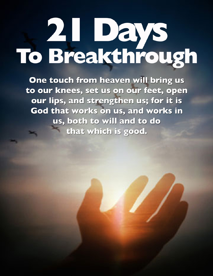# **2. Days**<br>To Breakthrough

One touch from heaven will bring us to our knees, set us on our feet, open our lips, and strengthen us; for it is God that works on us, and works in us, both to will and to do that which is good.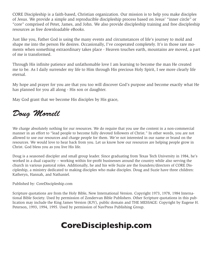CORE Discipleship is a faith-based, Christian organization. Our mission is to help you make disciples of Jesus. We provide a simple and reproducible discipleship process based on Jesus' "inner circle" or "core" comprised of Peter, James, and John. We also provide discipleship training and free discipleship resources as free downloadable eBooks.

Just like you, Father God is using the many events and circumstances of life's journey to mold and shape me into the person He desires. Occasionally, I've cooperated completely. It's in those rare moments when something extraordinary takes place - Heaven touches earth, mountains are moved, a part of me is transformed.

Through His infinite patience and unfathomable love I am learning to become the man He created me to be. As I daily surrender my life to Him through His precious Holy Spirit, I see more clearly life eternal.

My hope and prayer for you are that you too will discover God's purpose and become exactly what He has planned for you all along - His son or daughter.

May God grant that we become His disciples by His grace,

### *Doug Morrell*

We charge absolutely nothing for our resources. We do require that you use the content in a non-commercial manner in an effort to "lead people to become fully devoted followers of Christ." In other words, you are not allowed to use our resources and charge people for them. We're not interested in our name or brand on the resources. We would love to hear back from you. Let us know how our resources are helping people grow in Christ. God bless you as you live His life.

Doug is a seasoned discipler and small group leader. Since graduating from Texas Tech University in 1984, he's worked in a dual capacity -- working within for-profit businesses around the country while also serving the church in various pastoral roles. Additionally, he and his wife Suzie are the founders/directors of CORE Discipleship, a ministry dedicated to making disciples who make disciples. Doug and Suzie have three children: Katheryn, Hannah, and Nathaniel.

Published by: CoreDiscipleship.com

Scripture quotations are from the Holy Bible, New International Version. Copyright 1973, 1978, 1984 International Bible Society. Used by permission of Zondervan Bible Publishers. Other Scripture quotations in this publication may include the King James Version (KJV), public domain and THE MESSAGE: Copyright by Eugene H. Peterson, 1993, 1994, 1995. Used by permission of NavPress Publishing Group.

## **CoreDiscipleship.com**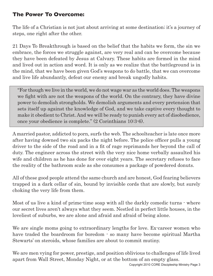#### **The Power To Overcome:**

The life of a Christian is not just about arriving at some destination; it's a journey of steps, one right after the other.

21 Days To Breakthrough is based on the belief that the habits we form, the sin we embrace, the forces we struggle against, are very real and can be overcome because they have been defeated by Jesus at Calvary. These habits are formed in the mind and lived out in action and word. It is only as we realize that the battleground is in the mind, that we have been given God's weapons to do battle, that we can overcome and live life abundantly, defeat our enemy and break ungodly habits.

"For though we live in the world, we do not wage war as the world does. The weapons we fight with are not the weapons of the world. On the contrary, they have divine power to demolish strongholds. We demolish arguments and every pretension that sets itself up against the knowledge of God, and we take captive every thought to make it obedient to Christ. And we will be ready to punish every act of disobedience, once your obedience is complete." (2 Corinthians 10:3-6).

A married pastor, addicted to porn, surfs the web. The schoolteacher is late once more after having downed two six packs the night before. The police officer pulls a young driver to the side of the road and in a fit of rage reprimands her beyond the call of duty. The engineer across the street with the very nice home verbally assaulted his wife and children as he has done for over eight years. The secretary refuses to face the reality of the bathroom scale as she consumes a package of powdered donuts.

All of these good people attend the same church and are honest, God fearing believers trapped in a dark cellar of sin, bound by invisible cords that are slowly, but surely choking the very life from them.

Most of us live a kind of prime-time soap with all the darkly comedic turns - where our secret lives aren't always what they seem. Nestled in perfect little houses, in the loveliest of suburbs, we are alone and afraid and afraid of being alone.

We are single moms going to extraordinary lengths for love. Ex-career women who have traded the boardroom for boredom  $\cdot$  so many have become spiritual Martha Stewarts' on steroids, whose families are about to commit mutiny.

We are men vying for power, prestige, and position oblivious to challenges of life lived apart from Wall Street, Monday Night, or at the bottom of an empty glass.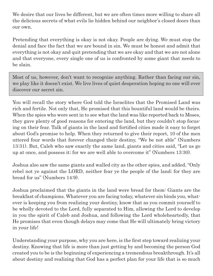We desire that our lives be different, but we are often times more willing to share all the delicious secrets of what evils lie hidden behind our neighbor's closed doors than our own.

Pretending that everything is okay is not okay. People are dying. We must stop the denial and face the fact that we are bound in sin. We must be honest and admit that everything is not okay and quit pretending that we are okay and that we are not alone and that everyone, every single one of us is confronted by some giant that needs to be slain.

Most of us, however, don't want to recognize anything. Rather than facing our sin, we play like it doesn't exist. We live lives of quiet desperation hoping no one will ever discover our secret sin.

You will recall the story where God told the Israelites that the Promised Land was rich and fertile. Not only that, He promised that this bountiful land would be theirs. When the spies who were sent in to see what the land was like reported back to Moses, they gave plenty of good reasons for entering the land, but they couldn't stop focusing on their fear. Talk of giants in the land and fortified cities made it easy to forget about God's promise to help. When they returned to give their report, 10 of the men uttered four words that forever changed their destiny, "We be not able" (Numbers 13:31). But, Caleb who saw exactly the same land, giants and cities said, "Let us go up at once, and possess it; for we are well able to overcome it" (Numbers 13:30).

Joshua also saw the same giants and walled city as the other spies, and added, "Only rebel not ye against the LORD, neither fear ye the people of the land; for they are bread for us" (Numbers 14:9).

Joshua proclaimed that the giants in the land were bread for them: Giants are the breakfast of champions. Whatever you are facing today, whatever sin binds you, whatever is keeping you from realizing your destiny, know that as you commit yourself to be wholly devoted to the Lord, fully separated to Him, allowing the Lord to develop in you the spirit of Caleb and Joshua, and following the Lord wholeheartedly, that He promises that even though delays may come that He will ultimately bring victory in your life!

Understanding your purpose, why you are here, is the first step toward realizing your destiny. Knowing that life is more than just getting by and becoming the person God created you to be is the beginning of experiencing a tremendous breakthrough. It's all about destiny and realizing that God has a perfect plan for your life that is so much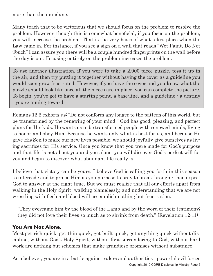more than the mundane.

Many teach that to be victorious that we should focus on the problem to resolve the problem. However, though this is somewhat beneficial, if you focus on the problem, you will increase the problem. That is the very basis of what takes place when the Law came in. For instance, if you see a sign on a wall that reads "Wet Paint, Do Not Touch" I can assure you there will be a couple hundred fingerprints on the wall before the day is out. Focusing entirely on the problem increases the problem.

To use another illustration, if you were to take a 2,000 piece puzzle, toss it up in the air, and then try putting it together without having the cover as a guideline you would soon grow frustrated. However, if you have the cover and you know what the puzzle should look like once all the pieces are in place, you can complete the picture. To begin, you've got to have a starting point, a base-line, and a guideline - a destiny - you're aiming toward.

Romans 12:2 exhorts us: "Do not conform any longer to the pattern of this world, but be transformed by the renewing of your mind." God has good, pleasing, and perfect plans for His kids. He wants us to be transformed people with renewed minds, living to honor and obey Him. Because he wants only what is best for us, and because He gave His Son to make our new lives possible, we should joyfully give ourselves as living sacrifices for His service. Once you know that you were made for God's purpose and that life is not about you and you alone, you will discover God's perfect will for you and begin to discover what abundant life really is.

I believe that victory can be yours. I believe God is calling you forth in this season to intercede and to praise Him as you purpose to pray to breakthrough - then expect God to answer at the right time. But we must realize that all our efforts apart from walking in the Holy Spirit, walking blamelessly, and understanding that we are not wrestling with flesh and blood will accomplish nothing but frustration.

"They overcame him by the blood of the Lamb and by the word of their testimony; they did not love their lives so much as to shrink from death." (Revelation 12:11)

#### **You Are Not Alone.**

Most get-rich-quick, get-thin-quick, get-built-quick, get anything quick without discipline, without God's Holy Spirit, without first surrendering to God, without hard work are nothing but schemes that make grandiose promises without substance.

Copyright 2010 CORE Discipleship Ministry Page 5 As a believer, you are in a battle against rulers and authorities - powerful evil forces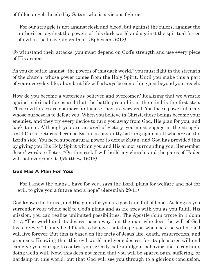of fallen angels headed by Satan, who is a vicious fighter.

"For our struggle is not against flesh and blood, but against the rulers, against the authorities, against the powers of this dark world and against the spiritual forces of evil in the heavenly realms." (Ephesians 6:12)

To withstand their attacks, you must depend on God's strength and use every piece of His armor.

As you do battle against "the powers of this dark world," you must fight in the strength of the church, whose power comes from the Holy Spirit. Until you make this a part of your everyday life, abundant life will always be something just beyond your reach.

How do you become a victorious believer and overcomer? Realizing that we wrestle against spiritual forces and that the battle ground is in the mind is the first step. These evil forces are not mere fantasies - they are very real. You face a powerful army whose purpose is to defeat you. When you believe in Christ, these beings become your enemies, and they try every device to turn you away from God, His plan for you, and back to sin. Although you are assured of victory, you must engage in the struggle until Christ returns, because Satan is constantly battling against all who are on the Lord's side. You need supernatural power to defeat Satan, and God has provided this by giving you His Holy Spirit within you and His armor surrounding you. Remember Jesus' words to Peter: "On this rock I will build my church, and the gates of Hades will not overcome it" (Matthew 16:18).

#### **God Has A Plan For You:**

"For I know the plans I have for you, says the Lord, plans for welfare and not for evil, to give you a future and a hope" (Jeremiah 29:11)

God knows the future, and His plans for you are good and full of hope. As long as you surrender your whole self to God's plans and as He goes with you as you fulfill His mission, you can realize unlimited possibilities. The Apostle John wrote in 1 John 2:17, "The world and its desires pass away, but the man who does the will of God lives forever." It may be difficult to believe that the person who does the will of God will live forever. But this is based on the facts of Jesus' life, death, resurrection, and promises. Knowing that this evil world and your desires for its pleasures will end can give you courage to control your greedy, self-indulgent behavior and to continue doing God's will. Now, this does not mean that you will be spared pain, suffering, or hardship in this world, but that God will see you through to a glorious conclusion.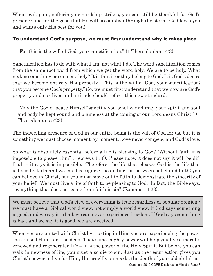When evil, pain, suffering, or hardship strikes, you can still be thankful for God's presence and for the good that He will accomplish through the storm. God loves you and wants only His best for you!

#### **To understand God's purpose, we must first understand why it takes place.**

"For this is the will of God, your sanctification." (1 Thessalonians 4:3)

Sanctification has to do with what I am, not what I do. The word sanctification comes from the same root word from which we get the word holy. We are to be holy. What makes something or someone holy? It is that it or they belong to God. It is God's desire that we become entirely His property. "This is the will of God, your sanctification; that you become God's property." So, we must first understand that we now are God's property and our lives and attitude should reflect this new standard.

"May the God of peace Himself sanctify you wholly; and may your spirit and soul and body be kept sound and blameless at the coming of our Lord Jesus Christ." (1 Thessalonians 5:23)

The indwelling presence of God in our entire being is the will of God for us, but it is something we must choose moment-by-moment. Love never compels, and God is love.

So what is absolutely essential before a life is pleasing to God? "Without faith it is impossible to please Him" (Hebrews 11:6). Please note, it does not say it will be difficult – it says it is impossible. Therefore, the life that pleases God is the life that is lived by faith and we must recognize the distinction between belief and faith; you can believe in Christ, but you must move out in faith to demonstrate the sincerity of your belief. We must live a life of faith to be pleasing to God. In fact, the Bible says, "everything that does not come from faith is sin" (Romans 14:23).

We must believe that God's view of everything is true regardless of popular opinion we must have a Biblical world view, not simply a world view. If God says something is good, and we say it is bad, we can never experience freedom. If God says something is bad, and we say it is good, we are deceived.

When you are united with Christ by trusting in Him, you are experiencing the power that raised Him from the dead. That same mighty power will help you live a morally renewed and regenerated life – it is the power of the Holy Spirit. But before you can walk in newness of life, you must also die to sin. Just as the resurrection gives you Christ's power to live for Him, His crucifixion marks the death of your old sinful na-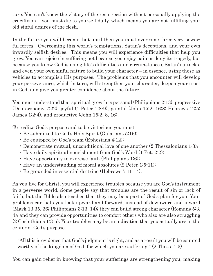ture. You can't know the victory of the resurrection without personally applying the crucifixion – you must die to yourself daily, which means you are not fulfilling your old sinful desires of the flesh.

In the future you will become, but until then you must overcome three very powerful forces: Overcoming this world's temptations, Satan's deceptions, and your own inwardly selfish desires. This means you will experience difficulties that help you grow. You can rejoice in suffering not because you enjoy pain or deny its tragedy, but because you know God is using life's difficulties and circumstances, Satan's attacks, and even your own sinful nature to build your character – in essence, using these as vehicles to accomplish His purposes. The problems that you encounter will develop your perseverance, which in turn, will strengthen your character, deepen your trust in God, and give you greater confidence about the future.

You must understand that spiritual growth is personal (Philippians 2:13), progressive (Deuteronomy 7:22), joyful (1 Peter 1:8-9), painful (John 15:2; 16:8; Hebrews 12:5; James 1:2-4), and productive (John 15:2, 8, 16).

To realize God's purpose and to be victorious you must:

- Be submitted to God's Holy Spirit (Galatians 5:16);
- Be equipped by God's team (Ephesians 4:12);
- Demonstrate mutual, unconditional love of one another (2 Thessalonians 1:3);
- Have daily spiritual nourishment from God's Word (1 Pet. 2:2);
- Have opportunity to exercise faith (Philippians 1:6);
- Have an understanding of moral absolutes (2 Peter 1:5-11);
- Be grounded in essential doctrine (Hebrews 5:11-14).

As you live for Christ, you will experience troubles because you are God's instrument in a perverse world. Some people say that troubles are the result of sin or lack of faith, but the Bible also teaches that they may be a part of God's plan for you. Your problems can help you look upward and forward, instead of downward and inward (Mark 13:35, 36; Philippians 3:13, 14); they can build strong character (Romans 5:3, 4); and they can provide opportunities to comfort others who also are also struggling (2 Corinthians 1:3-5). Your troubles may be an indication that you actually are in the center of God's purpose.

"All this is evidence that God's judgment is right, and as a result you will be counted worthy of the kingdom of God, for which you are suffering." (2 Thess. 1:5)

You can gain relief in knowing that your sufferings are strengthening you, making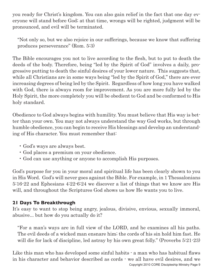you ready for Christ's kingdom. You can also gain relief in the fact that one day everyone will stand before God; at that time, wrongs will be righted, judgment will be pronounced, and evil will be terminated.

"Not only so, but we also rejoice in our sufferings, because we know that suffering produces perseverance" (Rom. 5:3)

The Bible encourages you not to live according to the flesh, but to put to death the deeds of the body. Therefore, being "led by the Spirit of God" involves a daily, progressive putting to death the sinful desires of your lower nature. This suggests that, while all Christians are in some ways being "led by the Spirit of God," there are ever increasing degrees of being led by the Spirit. Regardless of how long you have walked with God, there is always room for improvement. As you are more fully led by the Holy Spirit, the more completely you will be obedient to God and be conformed to His holy standard.

Obedience to God always begins with humility. You must believe that His way is better than your own. You may not always understand the way God works, but through humble obedience, you can begin to receive His blessings and develop an understanding of His character. You must remember that:

- God's ways are always best.
- God places a premium on your obedience.
- God can use anything or anyone to accomplish His purposes.

God's purpose for you in your moral and spiritual life has been clearly shown to you in His Word. God's will never goes against the Bible. For example, in 1 Thessalonians 5:16-22 and Ephesians 4:22-6:24 we discover a list of things that we know are His will, and throughout the Scriptures God shows us how He wants you to live.

#### **21 Days To Breakthrough**

It's easy to want to stop being angry, jealous, divisive, envious, sexually immoral, abusive... but how do you actually do it?

"For a man's ways are in full view of the LORD, and he examines all his paths. The evil deeds of a wicked man ensnare him; the cords of his sin hold him fast. He will die for lack of discipline, led astray by his own great folly." (Proverbs 5:21-23)

Copyright 2010 CORE Discipleship Ministry Page 9 Like this man who has developed some sinful habits  $\cdot$  a man who has habitual flaws in his character and behavior described as cords - we all have evil desires, and we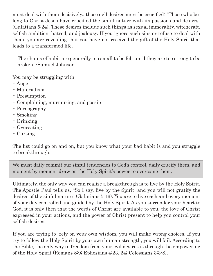must deal with them decisively...those evil desires must be crucified: "Those who belong to Christ Jesus have crucified the sinful nature with its passions and desires" (Galatians 5:24). These desires include such things as sexual immorality, witchcraft, selfish ambition, hatred, and jealousy. If you ignore such sins or refuse to deal with them, you are revealing that you have not received the gift of the Holy Spirit that leads to a transformed life.

The chains of habit are generally too small to be felt until they are too strong to be broken. -Samuel Johnson

You may be struggling with:

- Anger
- Materialism
- Presumption
- Complaining, murmuring, and gossip
- Pornography
- Smoking
- Drinking
- Overeating
- Cursing

The list could go on and on, but you know what your bad habit is and you struggle to breakthrough.

We must daily commit our sinful tendencies to God's control, daily crucify them, and moment by moment draw on the Holy Spirit's power to overcome them.

Ultimately, the only way you can realize a breakthrough is to live by the Holy Spirit. The Apostle Paul tells us, "So I say, live by the Spirit, and you will not gratify the desires of the sinful nature" (Galatians 5:16). You are to live each and every moment of your day controlled and guided by the Holy Spirit. As you surrender your heart to God, it is only then that the words of Christ are available to you, the love of Christ expressed in your actions, and the power of Christ present to help you control your selfish desires.

If you are trying to rely on your own wisdom, you will make wrong choices. If you try to follow the Holy Spirit by your own human strength, you will fail. According to the Bible, the only way to freedom from your evil desires is through the empowering of the Holy Spirit (Romans 8:9; Ephesians 4:23, 24; Colossians 3:3-8).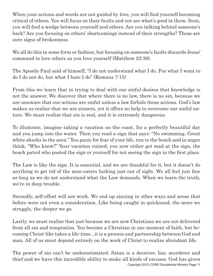When your actions and words are not guided by love, you will find yourself becoming critical of others. You will focus on their faults and not see what's good in them. Soon, you will find a wedge between yourself and others. Are you talking behind someone's back? Are you focusing on others' shortcomings instead of their strengths? These are sure signs of brokenness.

We all do this in some form or fashion, but focusing on someone's faults discards Jesus' command to love others as you love yourself (Matthew 22:39).

The Apostle Paul said of himself, "I do not understand what I do. For what I want to do I do not do, but what I hate I do" (Romans 7:15)

From this we learn that in trying to deal with our sinful desires that knowledge is not the answer. We discover that where there is no law, there is no sin, because we are unaware that our actions are sinful unless a law forbids those actions. God's law makes us realize that we are sinners, yet it offers no help to overcome our sinful nature. We must realize that sin is real, and it is extremely dangerous.

To illustrate, imagine taking a vacation on the coast. Its a perfectly beautiful day and you jump into the water. Then you read a sign that says: "No swimming. Great white sharks in the area." You panic for fear of your life, run to the beach and in anger think, "Who knew?" Your vacation ruined, you now either get mad at the sign, the beach patrol who posted the sign or yourself for not seeing the sign in the first place.

The Law is like the sign. It is essential, and we are thankful for it, but it doesn't do anything to get rid of the man-eaters lurking just out of sight. We all feel just fine as long as we do not understand what the Law demands. When we learn the truth, we're in deep trouble.

Secondly, self-effort will not work. We end up sinning in other ways and areas that before were not even a consideration. Like being caught in quicksand, the more we struggle, the deeper we go.

Lastly, we must realize that just because we are now Christians we are not delivered from all sin and temptation. You become a Christian in one moment of faith, but becoming Christ-like takes a life-time...it is a process and partnership between God and man. All of us must depend entirely on the work of Christ to realize abundant life.

Copyright 2010 CORE Discipleship Ministry Page 11 The power of sin can't be underestimated. Satan is a deceiver, liar, murderer and thief and we have this incredible ability to make all kinds of excuses. God has given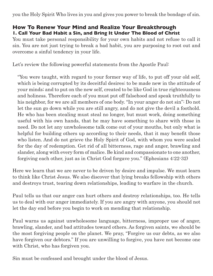you the Holy Spirit Who lives in you and gives you power to break the bondage of sin.

#### **How To Renew Your Mind and Realize Your Breakthrough 1. Call Your Bad Habit a Sin, and Bring It Under The Blood of Christ**

You must take personal responsibility for your own habits and not refuse to call it sin. You are not just trying to break a bad habit, you are purposing to root out and overcome a sinful tendency in your life.

Let's review the following powerful statements from the Apostle Paul:

"You were taught, with regard to your former way of life, to put off your old self, which is being corrupted by its deceitful desires; to be made new in the attitude of your minds; and to put on the new self, created to be like God in true righteousness and holiness. Therefore each of you must put off falsehood and speak truthfully to his neighbor, for we are all members of one body. "In your anger do not sin": Do not let the sun go down while you are still angry, and do not give the devil a foothold. He who has been stealing must steal no longer, but must work, doing something useful with his own hands, that he may have something to share with those in need. Do not let any unwholesome talk come out of your mouths, but only what is helpful for building others up according to their needs, that it may benefit those who listen. And do not grieve the Holy Spirit of God, with whom you were sealed for the day of redemption. Get rid of all bitterness, rage and anger, brawling and slander, along with every form of malice. Be kind and compassionate to one another, forgiving each other, just as in Christ God forgave you." (Ephesians 4:22-32)

Here we learn that we are never to be driven by desire and impulse. We must learn to think like Christ Jesus. We also discover that lying breaks fellowship with others and destroys trust, tearing down relationships, leading to warfare in the church.

Paul tells us that our anger can hurt others and destroy relationships, too. He tells us to deal with our anger immediately. If you are angry with anyone, you should not let the day end before you begin to work on mending that relationship.

Paul warns us against unwholesome language, bitterness, improper use of anger, brawling, slander, and bad attitudes toward others. As forgiven saints, we should be the most forgiving people on the planet. We pray, "Forgive us our debts, as we also have forgiven our debtors." If you are unwilling to forgive, you have not become one with Christ, who has forgiven you.

Sin must be confessed and brought under the blood of Jesus.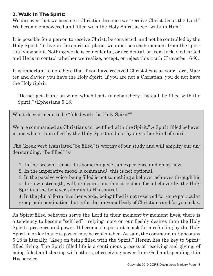#### **2. Walk In The Spirit:**

We discover that we become a Christian because we "receive Christ Jesus the Lord." We become empowered and filled with the Holy Spirit as we "walk in Him."

It is possible for a person to receive Christ, be converted, and not be controlled by the Holy Spirit. To live in the spiritual plane, we must see each moment from the spiritual viewpoint. Nothing we do is coincidental, or accidental, or from luck. God is God and He is in control whether we realize, accept, or reject this truth (Proverbs 16:9).

It is important to note here that if you have received Christ Jesus as your Lord, Master and Savior, you have the Holy Spirit. If you are not a Christian, you do not have the Holy Spirit.

"Do not get drunk on wine, which leads to debauchery. Instead, be filled with the Spirit." (Ephesians 5:18)

What does it mean to be "filled with the Holy Spirit?"

We are commanded as Christians to "be filled with the Spirit." A Spirit-filled believer is one who is controlled by the Holy Spirit and not by any other kind of spirit.

The Greek verb translated "be filled" is worthy of our study and will amplify our understanding. "Be filled" is:

1. In the present tense: it is something we can experience and enjoy now.

2. In the imperative mood (a command): this is not optional.

3. In the passive voice: being filled is not something a believer achieves through his or her own strength, will, or desire, but that it is done for a believer by the Holy Spirit as the believer submits to His control.

4. In the plural form: in other words, being filled is not reserved for some particular group or denomination, but is for the universal body of Christians and for you today.

As Spirit-filled believers serve the Lord in their moment-by-moment lives, there is a tendency to become "self-led" - relying more on our fleshly desires than the Holy Spirit's presence and power. It becomes important to ask for a refueling by the Holy Spirit in order that His power may be replenished. As said, the command in Ephesians 5:18 is literally, "Keep on being filled with the Spirit." Herein lies the key to Spiritfilled living. The Spirit-filled life is a continuous process of receiving and giving, of being filled and sharing with others, of receiving power from God and spending it in His service.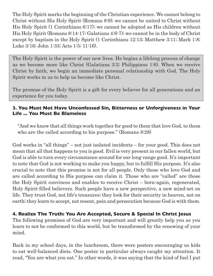The Holy Spirit marks the beginning of the Christian experience. We cannot belong to Christ without His Holy Spirit (Romans 8:9); we cannot be united to Christ without His Holy Spirit (1 Corinthians 6:17); we cannot be adopted as His children without His Holy Spirit (Romans 8:14-17; Galatians 4:6-7); we cannot be in the body of Christ except by baptism in the Holy Spirit (1 Corinthians 12:13; Matthew 3:11; Mark 1:8; Luke 3:16; John 1:33; Acts 1:5; 11:16).

The Holy Spirit is the power of our new lives. He begins a lifelong process of change as we become more like Christ (Galatians 3:3; Philippians 1:6). When we receive Christ by faith, we begin an immediate personal relationship with God. The Holy Spirit works in us to help us become like Christ.

The promise of the Holy Spirit is a gift for every believer for all generations and an experience for you today.

#### **3. You Must Not Have Unconfessed Sin, Bitterness or Unforgiveness in Your Life ... You Must Be Blameless**

"And we know that all things work together for good to them that love God, to them who are the called according to his purpose." (Romans 8:28)

God works in "all things" – not just isolated incidents – for your good. This does not mean that all that happens to you is good. Evil is very present in our fallen world, but God is able to turn every circumstance around for our long-range good. It's important to note that God is not working to make you happy, but to fulfill His purpose. It's also crucial to note that this promise is not for all people. Only those who love God and are called according to His purpose can claim it. Those who are "called" are those the Holy Spirit convinces and enables to receive Christ – born-again, regenerated, Holy Spirit-filled believers. Such people have a new perspective, a new mind-set on life. They trust God, not life's treasures; they look for their security in heaven, not on earth; they learn to accept, not resent, pain and persecution because God is with them.

#### **4. Realize The Truth: You Are Accepted, Secure & Special In Christ Jesus**

The following promises of God are very important and will greatly help you as you learn to not be conformed to this world, but be transformed by the renewing of your mind.

Back in my school days, in the lunchroom, there were posters encouraging us kids to eat well-balanced diets. One poster in particular always caught my attention. It read, "You are what you eat." In other words, it was saying that the kind of fuel I put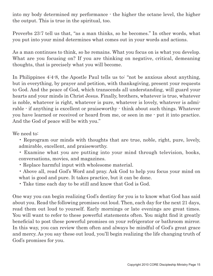into my body determined my performance - the higher the octane level, the higher the output. This is true in the spiritual, too.

Proverbs 23:7 tell us that, "as a man thinks, so he becomes." In other words, what you put into your mind determines what comes out in your words and actions.

As a man continues to think, so he remains. What you focus on is what you develop. What are you focusing on? If you are thinking on negative, critical, demeaning thoughts, that is precisely what you will become.

In Philippines 4:4-8, the Apostle Paul tells us to: "not be anxious about anything, but in everything, by prayer and petition, with thanksgiving, present your requests to God. And the peace of God, which transcends all understanding, will guard your hearts and your minds in Christ Jesus. Finally, brothers, whatever is true, whatever is noble, whatever is right, whatever is pure, whatever is lovely, whatever is admirable - if anything is excellent or praiseworthy - think about such things. Whatever you have learned or received or heard from me, or seen in me - put it into practice. And the God of peace will be with you."

We need to:

- Reprogram our minds with thoughts that are true, noble, right, pure, lovely, admirable, excellent, and praiseworthy.
- Examine what you are putting into your mind through television, books, conversations, movies, and magazines.
- Replace harmful input with wholesome material.
- Above all, read God's Word and pray. Ask God to help you focus your mind on what is good and pure. It takes practice, but it can be done.
- Take time each day to be still and know that God is God.

One way you can begin realizing God's destiny for you is to know what God has said about you. Read the following promises out loud. Then, each day for the next 21 days, read them out loud to yourself. Early mornings or late evenings are great times. You will want to refer to these powerful statements often. You might find it greatly beneficial to post these powerful promises on your refrigerator or bathroom mirror. In this way, you can review them often and always be mindful of God's great grace and mercy. As you say these out loud, you'll begin realizing the life changing truth of God's promises for you.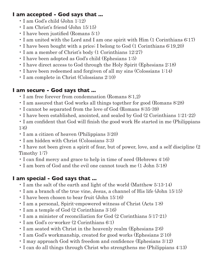#### **I am accepted - God says that ...**

- I am God's child (John 1:12)
- I am Christ's friend (John 15:15)
- I have been justified (Romans 5:1)
- I am united with the Lord and I am one spirit with Him (1 Corinthians 6:17)
- I have been bought with a price; I belong to God (1 Corinthians 6:19,20)
- I am a member of Christ's body (1 Corinthians 12:27)
- I have been adopted as God's child (Ephesians 1:5)
- I have direct access to God through the Holy Spirit (Ephesians 2:18)
- I have been redeemed and forgiven of all my sins (Colossians 1:14)
- I am complete in Christ (Colossians 2:10)

#### **I am secure - God says that ...**

- I am free forever from condemnation (Romans 8:1,2)
- I am assured that God works all things together for good (Romans 8:28)
- I cannot be separated from the love of God (Romans 8:35-39)
- I have been established, anointed, and sealed by God (2 Corinthians 1:21-22)
- I am confident that God will finish the good work He started in me (Philippians 1:6)
- I am a citizen of heaven (Philippians 3:20)
- I am hidden with Christ (Colossians 3:3)
- I have not been given a spirit of fear, but of power, love, and a self discipline (2 Timothy 1:7)
- I can find mercy and grace to help in time of need (Hebrews 4:16)
- I am born of God and the evil one cannot touch me (1 John 5:18)

#### **I am special - God says that ...**

- I am the salt of the earth and light of the world (Matthew 5:13-14)
- I am a branch of the true vine, Jesus, a channel of His life (John 15:15)
- I have been chosen to bear fruit (John 15:16)
- I am a personal, Spirit-empowered witness of Christ (Acts 1:8)
- I am a temple of God (2 Corinthians 3:16)
- I am a minister of reconciliation for God (2 Corinthians 5:17-21)
- I am God's co-worker (2 Corinthians 6:1)
- I am seated with Christ in the heavenly realm (Ephesians 2:6)
- I am God's workmanship, created for good works (Ephesians 2:10)
- I may approach God with freedom and confidence (Ephesians 3:12)
- I can do all things through Christ who strengthens me (Philippians 4:13)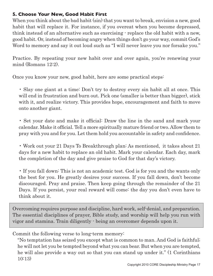#### **5. Choose Your New, Good Habit First**

When you think about the bad habit (sin) that you want to break, envision a new, good habit that will replace it. For instance, if you overeat when you become depressed, think instead of an alternative such as exercising - replace the old habit with a new, good habit. Or, instead of becoming angry when things don't go your way, commit God's Word to memory and say it out loud such as "I will never leave you nor forsake you."

Practice. By repeating your new habit over and over again, you're renewing your mind (Romans 12:2).

Once you know your new, good habit, here are some practical steps:

• Slay one giant at a time: Don't try to destroy every sin habit all at once. This will end in frustration and burn out. Pick one (smaller is better than bigger), stick with it, and realize victory. This provides hope, encouragement and faith to move onto another giant.

• Set your date and make it official: Draw the line in the sand and mark your calendar. Make it official. Tell a more spiritually mature friend or two. Allow them to pray with you and for you. Let them hold you accountable in safety and confidence.

• Work out your 21 Days To Breakthrough plan: As mentioned, it takes about 21 days for a new habit to replace an old habit. Mark your calendar. Each day, mark the completion of the day and give praise to God for that day's victory.

• If you fall down: This is not an academic test. God is for you and the wants only the best for you. He greatly desires your success. If you fall down, don't become discouraged. Pray and praise. Then keep going through the remainder of the 21 Days. If you persist, your real reward will come: the day you don't even have to think about it.

Overcoming requires purpose and discipline, hard work, self-denial, and preparation. The essential disciplines of prayer, Bible study, and worship will help you run with vigor and stamina. Train diligently - being an overcomer depends upon it.

Commit the following verse to long-term memory:

"No temptation has seized you except what is common to man. And God is faithful; he will not let you be tempted beyond what you can bear. But when you are tempted, he will also provide a way out so that you can stand up under it." (1 Corinthians 10:13)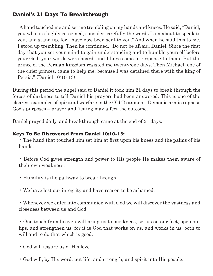#### **Daniel's 21 Days To Breakthrough**

"A hand touched me and set me trembling on my hands and knees. He said, "Daniel, you who are highly esteemed, consider carefully the words I am about to speak to you, and stand up, for I have now been sent to you." And when he said this to me, I stood up trembling. Then he continued, "Do not be afraid, Daniel. Since the first day that you set your mind to gain understanding and to humble yourself before your God, your words were heard, and I have come in response to them. But the prince of the Persian kingdom resisted me twenty-one days. Then Michael, one of the chief princes, came to help me, because I was detained there with the king of Persia." (Daniel 10:10-13)

During this period the angel said to Daniel it took him 21 days to break through the forces of darkness to tell Daniel his prayers had been answered. This is one of the clearest examples of spiritual warfare in the Old Testament. Demonic armies oppose God's purposes – prayer and fasting may affect the outcome.

Daniel prayed daily, and breakthrough came at the end of 21 days.

#### **Keys To Be Discovered From Daniel 10:10-13:**

• The hand that touched him set him at first upon his knees and the palms of his hands.

• Before God gives strength and power to His people He makes them aware of their own weakness.

- Humility is the pathway to breakthrough.
- We have lost our integrity and have reason to be ashamed.

• Whenever we enter into communion with God we will discover the vastness and closeness between us and God.

• One touch from heaven will bring us to our knees, set us on our feet, open our lips, and strengthen us; for it is God that works on us, and works in us, both to will and to do that which is good.

- God will assure us of His love.
- God will, by His word, put life, and strength, and spirit into His people.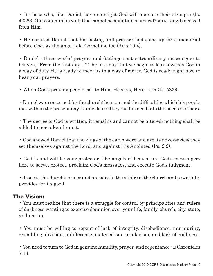• To those who, like Daniel, have no might God will increase their strength (Is. 40:29). Our communion with God cannot be maintained apart from strength derived from Him.

• He assured Daniel that his fasting and prayers had come up for a memorial before God, as the angel told Cornelius, too (Acts 10:4).

• Daniel's three weeks' prayers and fastings sent extraordinary messengers to heaven, "From the first day…" The first day that we begin to look towards God in a way of duty He is ready to meet us in a way of mercy. God is ready right now to hear your prayers.

• When God's praying people call to Him, He says, Here I am (Is. 58:9).

• Daniel was concerned for the church; he mourned the difficulties which his people met with in the present day. Daniel looked beyond his need into the needs of others.

• The decree of God is written, it remains and cannot be altered; nothing shall be added to nor taken from it.

• God showed Daniel that the kings of the earth were and are its adversaries; they set themselves against the Lord, and against His Anointed (Ps. 2:2).

• God is and will be your protector. The angels of heaven are God's messengers here to serve, protect, proclaim God's messages, and execute God's judgment.

• Jesus is the church's prince and presides in the affairs of the church and powerfully provides for its good.

#### **The Vision:**

• You must realize that there is a struggle for control by principalities and rulers of darkness wanting to exercise dominion over your life, family, church, city, state, and nation.

• You must be willing to repent of lack of integrity, disobedience, murmuring, grumbling, division, indifference, materialism, secularism, and lack of godliness.

• You need to turn to God in genuine humility, prayer, and repentance - 2 Chronicles 7:14.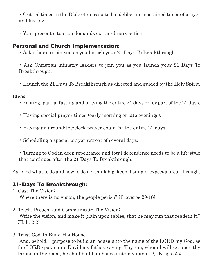• Critical times in the Bible often resulted in deliberate, sustained times of prayer and fasting.

• Your present situation demands extraordinary action.

#### **Personal and Church Implementation:**

• Ask others to join you as you launch your 21 Days To Breakthrough.

• Ask Christian ministry leaders to join you as you launch your 21 Days To Breakthrough.

• Launch the 21 Days To Breakthrough as directed and guided by the Holy Spirit.

#### **Ideas**:

- Fasting, partial fasting and praying the entire 21 days or for part of the 21 days.
- Having special prayer times (early morning or late evenings).
- Having an around-the-clock prayer chain for the entire 21 days.
- Scheduling a special prayer retreat of several days.

• Turning to God in deep repentance and total dependence needs to be a life-style that continues after the 21 Days To Breakthrough.

Ask God what to do and how to do it - think big, keep it simple, expect a breakthrough.

#### **21-Days To Breakthrough:**

1. Cast The Vision:

"Where there is no vision, the people perish" (Proverbs 29:18)

- 2. Teach, Preach, and Communicate The Vision: "Write the vision, and make it plain upon tables, that he may run that readeth it." (Hab. 2:2)
- 3. Trust God To Build His House:

"And, behold, I purpose to build an house unto the name of the LORD my God, as the LORD spake unto David my father, saying, Thy son, whom I will set upon thy throne in thy room, he shall build an house unto my name." (1 Kings 5:5)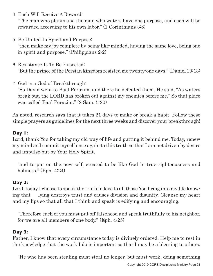4. Each Will Receive A Reward:

"The man who plants and the man who waters have one purpose, and each will be rewarded according to his own labor." (1 Corinthians 3:8)

5. Be United In Spirit and Purpose:

"then make my joy complete by being like-minded, having the same love, being one in spirit and purpose." (Philippians 2:2)

- 6. Resistance Is To Be Expected: "But the prince of the Persian kingdom resisted me twenty-one days." (Daniel 10:13)
- 7. God is a God of Breakthrough:

"So David went to Baal Perazim, and there he defeated them. He said, "As waters break out, the LORD has broken out against my enemies before me." So that place was called Baal Perazim." (2 Sam. 5:20)

As noted, research says that it takes 21 days to make or break a habit. Follow these simple prayers as guidelines for the next three weeks and discover your breakthrough!

#### **Day 1:**

Lord, thank You for taking my old way of life and putting it behind me. Today, renew my mind as I commit myself once again to this truth so that I am not driven by desire and impulse but by Your Holy Spirit.

"and to put on the new self, created to be like God in true righteousness and holiness." (Eph. 4:24)

#### **Day 2:**

Lord, today I choose to speak the truth in love to all those You bring into my life knowing that lying destroys trust and causes division and disunity. Cleanse my heart and my lips so that all that I think and speak is edifying and encouraging.

"Therefore each of you must put off falsehood and speak truthfully to his neighbor, for we are all members of one body." (Eph. 4:25)

#### **Day 3:**

Father, I know that every circumstance today is divinely ordered. Help me to rest in the knowledge that the work I do is important so that I may be a blessing to others.

"He who has been stealing must steal no longer, but must work, doing something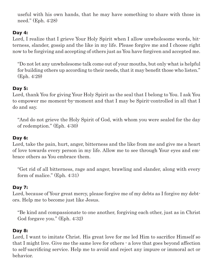useful with his own hands, that he may have something to share with those in need." (Eph. 4:28)

#### **Day 4:**

Lord, I realize that I grieve Your Holy Spirit when I allow unwholesome words, bitterness, slander, gossip and the like in my life. Please forgive me and I choose right now to be forgiving and accepting of others just as You have forgiven and accepted me.

"Do not let any unwholesome talk come out of your mouths, but only what is helpful for building others up according to their needs, that it may benefit those who listen." (Eph. 4:29)

#### **Day 5:**

Lord, thank You for giving Your Holy Spirit as the seal that I belong to You. I ask You to empower me moment-by-moment and that I may be Spirit-controlled in all that I do and say.

"And do not grieve the Holy Spirit of God, with whom you were sealed for the day of redemption." (Eph. 4:30)

#### **Day 6:**

Lord, take the pain, hurt, anger, bitterness and the like from me and give me a heart of love towards every person in my life. Allow me to see through Your eyes and embrace others as You embrace them.

"Get rid of all bitterness, rage and anger, brawling and slander, along with every form of malice." (Eph. 4:31)

#### **Day 7:**

Lord, because of Your great mercy, please forgive me of my debts as I forgive my debtors. Help me to become just like Jesus.

"Be kind and compassionate to one another, forgiving each other, just as in Christ God forgave you." (Eph. 4:32)

#### **Day 8:**

Lord, I want to imitate Christ. His great love for me led Him to sacrifice Himself so that I might live. Give me the same love for others - a love that goes beyond affection to self-sacrificing service. Help me to avoid and reject any impure or immoral act or behavior.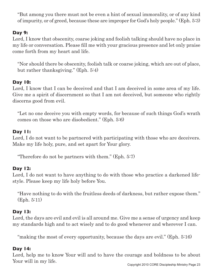"But among you there must not be even a hint of sexual immorality, or of any kind of impurity, or of greed, because these are improper for God's holy people." (Eph. 5:3)

#### **Day 9:**

Lord, I know that obscenity, coarse joking and foolish talking should have no place in my life or conversation. Please fill me with your gracious presence and let only praise come forth from my heart and life.

"Nor should there be obscenity, foolish talk or coarse joking, which are out of place, but rather thanksgiving." (Eph. 5:4)

#### **Day 10:**

Lord, I know that I can be deceived and that I am deceived in some area of my life. Give me a spirit of discernment so that I am not deceived, but someone who rightly discerns good from evil.

"Let no one deceive you with empty words, for because of such things God's wrath comes on those who are disobedient." (Eph. 5:6)

#### **Day 11:**

Lord, I do not want to be partnered with participating with those who are deceivers. Make my life holy, pure, and set apart for Your glory.

"Therefore do not be partners with them." (Eph. 5:7)

#### **Day 12:**

Lord, I do not want to have anything to do with those who practice a darkened lifestyle. Please keep my life holy before You.

"Have nothing to do with the fruitless deeds of darkness, but rather expose them." (Eph. 5:11)

#### **Day 13:**

Lord, the days are evil and evil is all around me. Give me a sense of urgency and keep my standards high and to act wisely and to do good whenever and wherever I can.

"making the most of every opportunity, because the days are evil." (Eph. 5:16)

#### **Day 14:**

Lord, help me to know Your will and to have the courage and boldness to be about Your will in my life.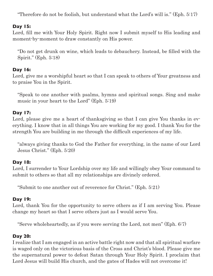"Therefore do not be foolish, but understand what the Lord's will is." (Eph. 5:17)

#### **Day 15:**

Lord, fill me with Your Holy Spirit. Right now I submit myself to His leading and moment-by-moment to draw constantly on His power.

"Do not get drunk on wine, which leads to debauchery. Instead, be filled with the Spirit." (Eph. 5:18)

#### **Day 16:**

Lord, give me a worshipful heart so that I can speak to others of Your greatness and to praise You in the Spirit.

"Speak to one another with psalms, hymns and spiritual songs. Sing and make music in your heart to the Lord" (Eph. 5:19)

#### **Day 17:**

Lord, please give me a heart of thanksgiving so that I can give You thanks in everything. I know that in all things You are working for my good. I thank You for the strength You are building in me through the difficult experiences of my life.

"always giving thanks to God the Father for everything, in the name of our Lord Jesus Christ." (Eph. 5:20)

#### **Day 18:**

Lord, I surrender to Your Lordship over my life and willingly obey Your command to submit to others so that all my relationships are divinely ordered.

"Submit to one another out of reverence for Christ." (Eph. 5:21)

#### **Day 19:**

Lord, thank You for the opportunity to serve others as if I am serving You. Please change my heart so that I serve others just as I would serve You.

"Serve wholeheartedly, as if you were serving the Lord, not men" (Eph. 6:7)

#### **Day 20:**

I realize that I am engaged in an active battle right now and that all spiritual warfare is waged only on the victorious basis of the Cross and Christ's blood. Please give me the supernatural power to defeat Satan through Your Holy Spirit. I proclaim that Lord Jesus will build His church, and the gates of Hades will not overcome it!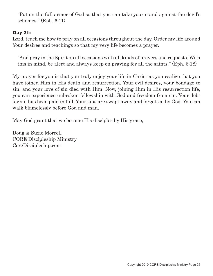"Put on the full armor of God so that you can take your stand against the devil's schemes." (Eph. 6:11)

#### **Day 21:**

Lord, teach me how to pray on all occasions throughout the day. Order my life around Your desires and teachings so that my very life becomes a prayer.

"And pray in the Spirit on all occasions with all kinds of prayers and requests. With this in mind, be alert and always keep on praying for all the saints." (Eph. 6:18)

My prayer for you is that you truly enjoy your life in Christ as you realize that you have joined Him in His death and resurrection. Your evil desires, your bondage to sin, and your love of sin died with Him. Now, joining Him in His resurrection life, you can experience unbroken fellowship with God and freedom from sin. Your debt for sin has been paid in full. Your sins are swept away and forgotten by God. You can walk blamelessly before God and man.

May God grant that we become His disciples by His grace,

Doug & Suzie Morrell CORE Discipleship Ministry CoreDiscipleship.com